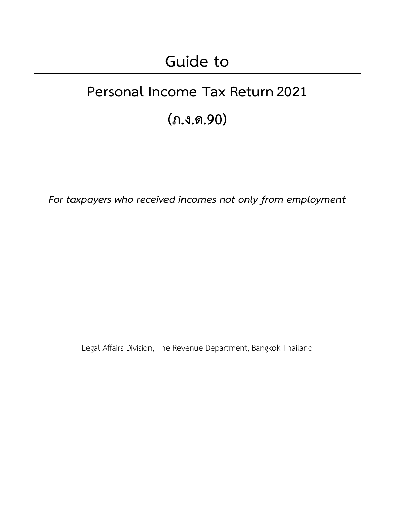# **Personal Income Tax Return 2021**

## **(ภ.ง.ด.90)**

*For taxpayers who received incomes not only from employment* 

Legal Affairs Division, The Revenue Department, Bangkok Thailand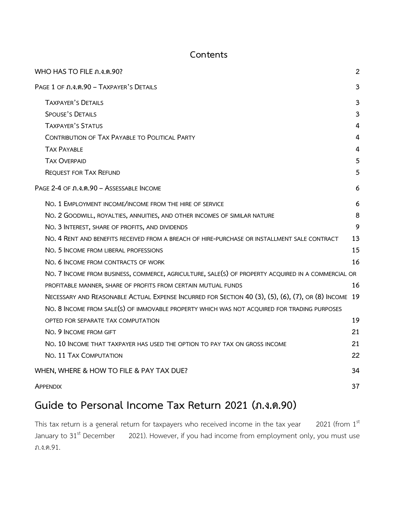## **Contents**

| WHO HAS TO FILE ภ.ง.ด.90?                                                                            | $\overline{2}$ |
|------------------------------------------------------------------------------------------------------|----------------|
| PAGE 1 OF $\Omega$ , 3, 0, 90 - TAXPAYER'S DETAILS                                                   | 3              |
| TAXPAYER'S DETAILS                                                                                   | 3              |
| <b>SPOUSE'S DETAILS</b>                                                                              | 3              |
| <b>TAXPAYER'S STATUS</b>                                                                             | 4              |
| CONTRIBUTION OF TAX PAYABLE TO POLITICAL PARTY                                                       | 4              |
| <b>TAX PAYABLE</b>                                                                                   | 4              |
| <b>TAX OVERPAID</b>                                                                                  | 5              |
| <b>REQUEST FOR TAX REFUND</b>                                                                        | 5              |
| PAGE 2-4 OF $n.3.9.90 - ASSESSABLE INCOME$                                                           | 6              |
| NO. 1 EMPLOYMENT INCOME/INCOME FROM THE HIRE OF SERVICE                                              | 6              |
| NO. 2 GOODWILL, ROYALTIES, ANNUITIES, AND OTHER INCOMES OF SIMILAR NATURE                            | 8              |
| NO. 3 INTEREST, SHARE OF PROFITS, AND DIVIDENDS                                                      | 9              |
| No. 4 Rent and benefits received from a breach of hire-purchase or installment sale contract         | 13             |
| NO. 5 INCOME FROM LIBERAL PROFESSIONS                                                                | 15             |
| NO. 6 INCOME FROM CONTRACTS OF WORK                                                                  | 16             |
| NO. 7 INCOME FROM BUSINESS, COMMERCE, AGRICULTURE, SALE(S) OF PROPERTY ACQUIRED IN A COMMERCIAL OR   |                |
| PROFITABLE MANNER, SHARE OF PROFITS FROM CERTAIN MUTUAL FUNDS                                        | 16             |
| NECESSARY AND REASONABLE ACTUAL EXPENSE INCURRED FOR SECTION 40 (3), (5), (6), (7), OR (8) INCOME 19 |                |
| NO. 8 INCOME FROM SALE(S) OF IMMOVABLE PROPERTY WHICH WAS NOT ACQUIRED FOR TRADING PURPOSES          |                |
| OPTED FOR SEPARATE TAX COMPUTATION                                                                   | 19             |
| NO. 9 INCOME FROM GIFT                                                                               | 21             |
| NO. 10 INCOME THAT TAXPAYER HAS USED THE OPTION TO PAY TAX ON GROSS INCOME                           | 21             |
| NO. 11 TAX COMPUTATION                                                                               | 22             |
| WHEN, WHERE & HOW TO FILE & PAY TAX DUE?                                                             | 34             |
| <b>APPENDIX</b>                                                                                      | 37             |

## **Guide to Personal Income Tax Return 2021 (ภ.ง.ด.90)**

This tax return is a general return for taxpayers who received income in the tax year  $2021$  (from  $1<sup>st</sup>$ January to 31<sup>st</sup> December 2021). However, if you had income from employment only, you must use ภ.ง.ด.91.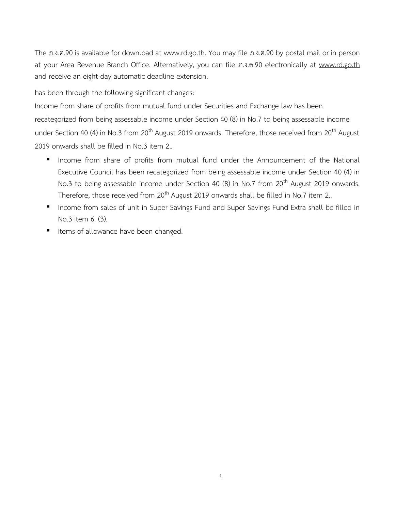The ภ.ง.ด.90 is available for download at [www.rd.go.th.](http://www.rd.go.th/) You may file ภ.ง.ด.90 by postal mail or in person at your Area Revenue Branch Office. Alternatively, you can file ภ.ง.ด.90 electronically at [www.rd.go.th](http://www.rd.go.th/) and receive an eight-day automatic deadline extension.

has been through the following significant changes:

Income from share of profits from mutual fund under Securities and Exchange law has been recategorized from being assessable income under Section 40 (8) in No.7 to being assessable income under Section 40 (4) in No.3 from 20<sup>th</sup> August 2019 onwards. Therefore, those received from 20<sup>th</sup> August 2019 onwards shall be filled in No.3 item 2..

- Income from share of profits from mutual fund under the Announcement of the National Executive Council has been recategorized from being assessable income under Section 40 (4) in No.3 to being assessable income under Section 40 (8) in No.7 from 20<sup>th</sup> August 2019 onwards. Therefore, those received from 20<sup>th</sup> August 2019 onwards shall be filled in No.7 item 2..
- Income from sales of unit in Super Savings Fund and Super Savings Fund Extra shall be filled in No.3 item 6. (3).

1

<span id="page-2-0"></span>■ Items of allowance have been changed.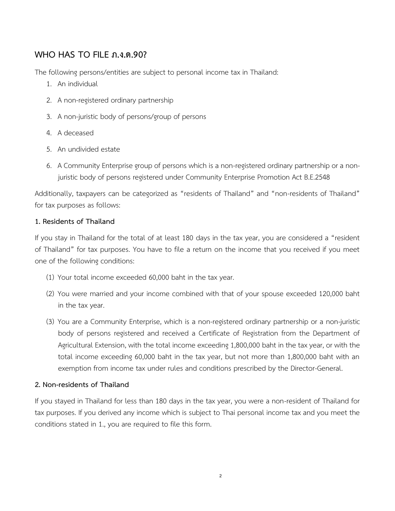## **WHO HAS TO FILE ภ.ง.ด.90?**

The following persons/entities are subject to personal income tax in Thailand:

- 1. An individual
- 2. A non-registered ordinary partnership
- 3. A non-juristic body of persons/group of persons
- 4. A deceased
- 5. An undivided estate
- 6. A Community Enterprise group of persons which is a non-registered ordinary partnership or a nonjuristic body of persons registered under Community Enterprise Promotion Act B.E.2548

Additionally, taxpayers can be categorized as "residents of Thailand" and "non-residents of Thailand" for tax purposes as follows:

#### **1. Residents of Thailand**

If you stay in Thailand for the total of at least 180 days in the tax year, you are considered a "resident of Thailand" for tax purposes. You have to file a return on the income that you received if you meet one of the following conditions:

- (1) Your total income exceeded 60,000 baht in the tax year.
- (2) You were married and your income combined with that of your spouse exceeded 120,000 baht in the tax year.
- (3) You are a Community Enterprise, which is a non-registered ordinary partnership or a non-juristic body of persons registered and received a Certificate of Registration from the Department of Agricultural Extension, with the total income exceeding 1,800,000 baht in the tax year, or with the total income exceeding 60,000 baht in the tax year, but not more than 1,800,000 baht with an exemption from income tax under rules and conditions prescribed by the Director-General.

#### **2. Non-residents of Thailand**

If you stayed in Thailand for less than 180 days in the tax year, you were a non-resident of Thailand for tax purposes. If you derived any income which is subject to Thai personal income tax and you meet the conditions stated in 1., you are required to file this form.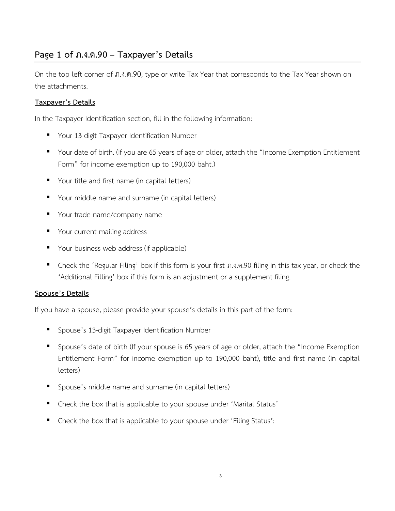## <span id="page-4-0"></span>**Page 1 of ภ.ง.ด.90 – Taxpayer's Details**

<span id="page-4-1"></span>On the top left corner of ภ.ง.ด.90, type or write Tax Year that corresponds to the Tax Year shown on the attachments.

#### **Taxpayer's Details**

In the Taxpayer Identification section, fill in the following information:

- **•** Your 13-digit Taxpayer Identification Number
- Your date of birth. (If you are 65 years of age or older, attach the "Income Exemption Entitlement Form" for income exemption up to 190,000 baht.)
- Your title and first name (in capital letters)
- Your middle name and surname (in capital letters)
- Your trade name/company name
- Your current mailing address
- Your business web address (if applicable)
- Check the 'Regular Filing' box if this form is your first ภ.ง.ด.90 filing in this tax year, or check the 'Additional Filling' box if this form is an adjustment or a supplement filing.

#### <span id="page-4-2"></span>**Spouse's Details**

If you have a spouse, please provide your spouse's details in this part of the form:

- Spouse's 13-digit Taxpayer Identification Number
- Spouse's date of birth (If your spouse is 65 years of age or older, attach the "Income Exemption Entitlement Form" for income exemption up to 190,000 baht), title and first name (in capital letters)
- Spouse's middle name and surname (in capital letters)
- Check the box that is applicable to your spouse under 'Marital Status'
- Check the box that is applicable to your spouse under 'Filing Status':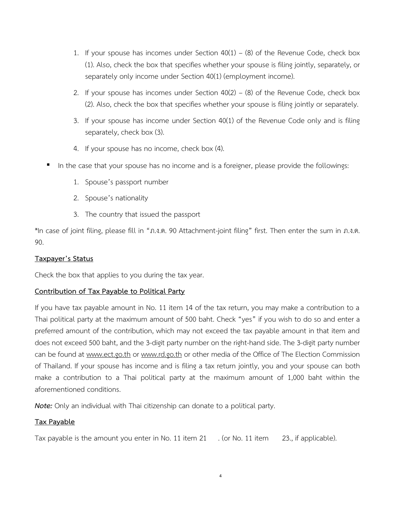- 1. If your spouse has incomes under Section  $40(1) (8)$  of the Revenue Code, check box (1). Also, check the box that specifies whether your spouse is filing jointly, separately, or separately only income under Section 40(1) (employment income).
- 2. If your spouse has incomes under Section  $40(2) (8)$  of the Revenue Code, check box (2). Also, check the box that specifies whether your spouse is filing jointly or separately.
- 3. If your spouse has income under Section 40(1) of the Revenue Code only and is filing separately, check box (3).
- 4. If your spouse has no income, check box (4).
- In the case that your spouse has no income and is a foreigner, please provide the followings:
	- 1. Spouse's passport number
	- 2. Spouse's nationality
	- 3. The country that issued the passport

\*In case of joint filing, please fill in "ภ.ง.ด. 90 Attachment-joint filing" first. Then enter the sum in ภ.ง.ด. 90.

#### <span id="page-5-0"></span>**Taxpayer's Status**

Check the box that applies to you during the tax year.

#### <span id="page-5-1"></span>**Contribution of Tax Payable to Political Party**

If you have tax payable amount in No. 11 item 14 of the tax return, you may make a contribution to a Thai political party at the maximum amount of 500 baht. Check "yes" if you wish to do so and enter a preferred amount of the contribution, which may not exceed the tax payable amount in that item and does not exceed 500 baht, and the 3-digit party number on the right-hand side. The 3-digit party number can be found at [www.ect.go.th](http://www.ect.go.th/) or [www.rd.go.th](http://www.rd.go.th/) or other media of the Office of The Election Commission of Thailand. If your spouse has income and is filing a tax return jointly, you and your spouse can both make a contribution to a Thai political party at the maximum amount of 1,000 baht within the aforementioned conditions.

*Note:* Only an individual with Thai citizenship can donate to a political party.

#### <span id="page-5-2"></span>**Tax Payable**

Tax payable is the amount you enter in No. 11 item 21 . (or No. 11 item 23., if applicable).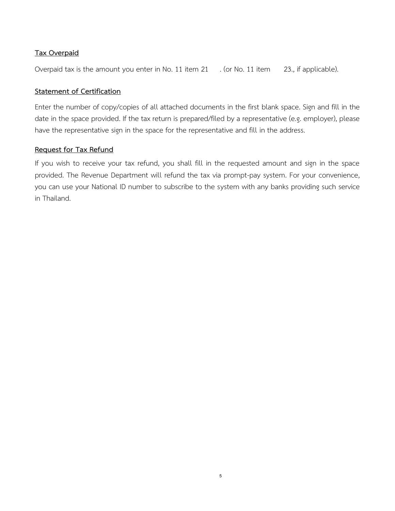#### <span id="page-6-0"></span>**Tax Overpaid**

Overpaid tax is the amount you enter in No. 11 item 21 . (or No. 11 item 23., if applicable).

#### **Statement of Certification**

Enter the number of copy/copies of all attached documents in the first blank space. Sign and fill in the date in the space provided. If the tax return is prepared/filed by a representative (e.g. employer), please have the representative sign in the space for the representative and fill in the address.

#### <span id="page-6-1"></span>**Request for Tax Refund**

<span id="page-6-2"></span>If you wish to receive your tax refund, you shall fill in the requested amount and sign in the space provided. The Revenue Department will refund the tax via prompt-pay system. For your convenience, you can use your National ID number to subscribe to the system with any banks providing such service in Thailand.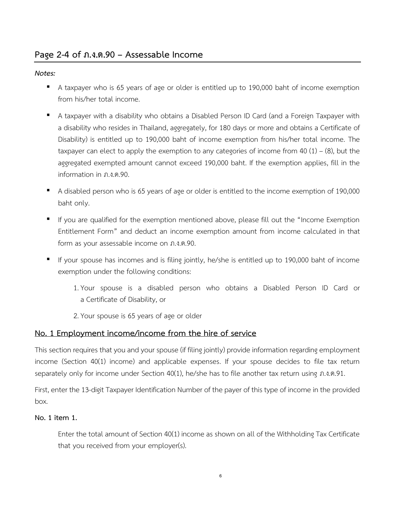#### *Notes:*

- A taxpayer who is 65 years of age or older is entitled up to 190,000 baht of income exemption from his/her total income.
- A taxpayer with a disability who obtains a Disabled Person ID Card (and a Foreign Taxpayer with a disability who resides in Thailand, aggregately, for 180 days or more and obtains a Certificate of Disability) is entitled up to 190,000 baht of income exemption from his/her total income. The taxpayer can elect to apply the exemption to any categories of income from  $40 (1) - (8)$ , but the aggregated exempted amount cannot exceed 190,000 baht. If the exemption applies, fill in the information in ภ.ง.ด.90.
- A disabled person who is 65 years of age or older is entitled to the income exemption of 190,000 baht only.
- If you are qualified for the exemption mentioned above, please fill out the "Income Exemption Entitlement Form" and deduct an income exemption amount from income calculated in that form as your assessable income on ภ.ง.ด.90.
- If your spouse has incomes and is filing jointly, he/she is entitled up to 190,000 baht of income exemption under the following conditions:
	- 1.Your spouse is a disabled person who obtains a Disabled Person ID Card or a Certificate of Disability, or
	- 2.Your spouse is 65 years of age or older

#### <span id="page-7-0"></span>**No. 1 Employment income/income from the hire of service**

This section requires that you and your spouse (if filing jointly) provide information regarding employment income (Section 40(1) income) and applicable expenses. If your spouse decides to file tax return separately only for income under Section 40(1), he/she has to file another tax return using ภ.ง.ด.91.

First, enter the 13-digit Taxpayer Identification Number of the payer of this type of income in the provided box.

#### **No. 1 item 1.**

Enter the total amount of Section 40(1) income as shown on all of the Withholding Tax Certificate that you received from your employer(s).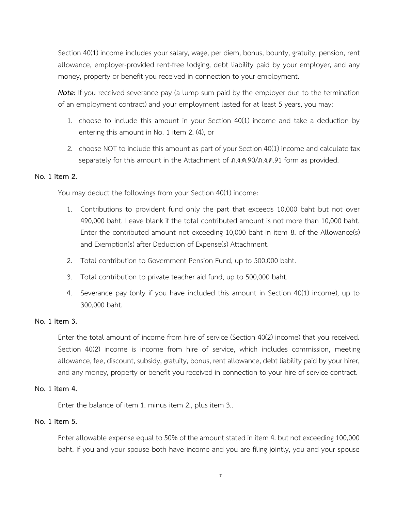Section 40(1) income includes your salary, wage, per diem, bonus, bounty, gratuity, pension, rent allowance, employer-provided rent-free lodging, debt liability paid by your employer, and any money, property or benefit you received in connection to your employment.

*Note:* If you received severance pay (a lump sum paid by the employer due to the termination of an employment contract) and your employment lasted for at least 5 years, you may:

- 1. choose to include this amount in your Section 40(1) income and take a deduction by entering this amount in No. 1 item 2. (4), or
- 2. choose NOT to include this amount as part of your Section 40(1) income and calculate tax separately for this amount in the Attachment of ภ.ง.ด.90/ภ.ง.ด.91 form as provided.

#### **No. 1 item 2.**

You may deduct the followings from your Section 40(1) income:

- 1. Contributions to provident fund only the part that exceeds 10,000 baht but not over 490,000 baht. Leave blank if the total contributed amount is not more than 10,000 baht. Enter the contributed amount not exceeding 10,000 baht in item 8. of the Allowance(s) and Exemption(s) after Deduction of Expense(s) Attachment.
- 2. Total contribution to Government Pension Fund, up to 500,000 baht.
- 3. Total contribution to private teacher aid fund, up to 500,000 baht.
- 4. Severance pay (only if you have included this amount in Section 40(1) income), up to 300,000 baht.

#### **No. 1 item 3.**

Enter the total amount of income from hire of service (Section 40(2) income) that you received. Section 40(2) income is income from hire of service, which includes commission, meeting allowance, fee, discount, subsidy, gratuity, bonus, rent allowance, debt liability paid by your hirer, and any money, property or benefit you received in connection to your hire of service contract.

#### **No. 1 item 4.**

Enter the balance of item 1. minus item 2., plus item 3..

#### **No. 1 item 5.**

Enter allowable expense equal to 50% of the amount stated in item 4. but not exceeding 100,000 baht. If you and your spouse both have income and you are filing jointly, you and your spouse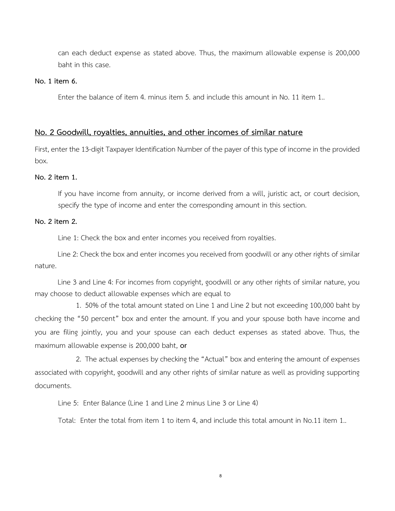can each deduct expense as stated above. Thus, the maximum allowable expense is 200,000 baht in this case.

#### **No. 1 item 6.**

Enter the balance of item 4. minus item 5. and include this amount in No. 11 item 1..

#### <span id="page-9-0"></span>**No. 2 Goodwill, royalties, annuities, and other incomes of similar nature**

First, enter the 13-digit Taxpayer Identification Number of the payer of this type of income in the provided box.

#### **No. 2 item 1.**

If you have income from annuity, or income derived from a will, juristic act, or court decision, specify the type of income and enter the corresponding amount in this section.

#### **No. 2 item 2.**

Line 1: Check the box and enter incomes you received from royalties.

Line 2: Check the box and enter incomes you received from goodwill or any other rights of similar nature.

Line 3 and Line 4: For incomes from copyright, goodwill or any other rights of similar nature, you may choose to deduct allowable expenses which are equal to

1. 50% of the total amount stated on Line 1 and Line 2 but not exceeding 100,000 baht by checking the "50 percent" box and enter the amount. If you and your spouse both have income and you are filing jointly, you and your spouse can each deduct expenses as stated above. Thus, the maximum allowable expense is 200,000 baht, **or**

2. The actual expenses by checking the "Actual" box and entering the amount of expenses associated with copyright, goodwill and any other rights of similar nature as well as providing supporting documents.

Line 5: Enter Balance (Line 1 and Line 2 minus Line 3 or Line 4)

Total: Enter the total from item 1 to item 4, and include this total amount in No.11 item 1..

8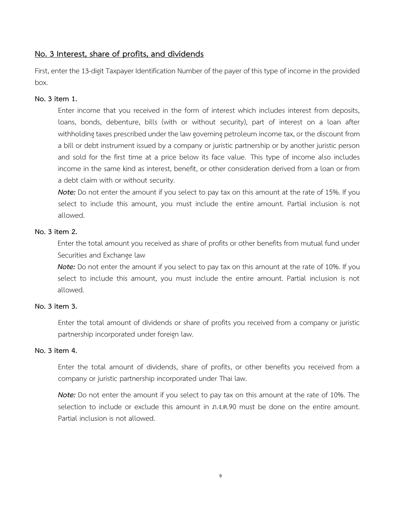#### <span id="page-10-0"></span>**No. 3 Interest, share of profits, and dividends**

First, enter the 13-digit Taxpayer Identification Number of the payer of this type of income in the provided box.

#### **No. 3 item 1.**

Enter income that you received in the form of interest which includes interest from deposits, loans, bonds, debenture, bills (with or without security), part of interest on a loan after withholding taxes prescribed under the law governing petroleum income tax, or the discount from a bill or debt instrument issued by a company or juristic partnership or by another juristic person and sold for the first time at a price below its face value. This type of income also includes income in the same kind as interest, benefit, or other consideration derived from a loan or from a debt claim with or without security.

*Note:* Do not enter the amount if you select to pay tax on this amount at the rate of 15%. If you select to include this amount, you must include the entire amount. Partial inclusion is not allowed.

#### **No. 3 item 2.**

Enter the total amount you received as share of profits or other benefits from mutual fund under Securities and Exchange law

*Note:* Do not enter the amount if you select to pay tax on this amount at the rate of 10%. If you select to include this amount, you must include the entire amount. Partial inclusion is not allowed.

#### **No. 3 item 3.**

Enter the total amount of dividends or share of profits you received from a company or juristic partnership incorporated under foreign law.

#### **No. 3 item 4.**

Enter the total amount of dividends, share of profits, or other benefits you received from a company or juristic partnership incorporated under Thai law.

*Note:* Do not enter the amount if you select to pay tax on this amount at the rate of 10%. The selection to include or exclude this amount in ภ.ง.ด.90 must be done on the entire amount. Partial inclusion is not allowed.

 $\overline{9}$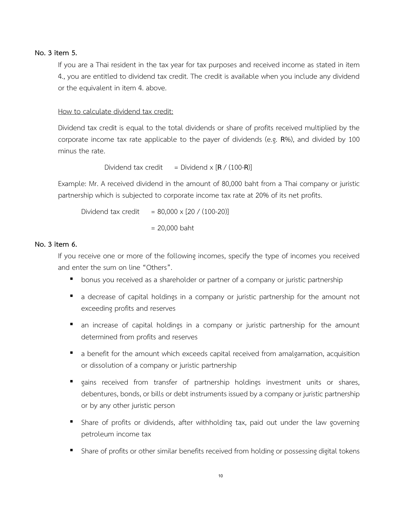#### **No. 3 item 5.**

If you are a Thai resident in the tax year for tax purposes and received income as stated in item 4., you are entitled to dividend tax credit. The credit is available when you include any dividend or the equivalent in item 4. above.

#### How to calculate dividend tax credit:

Dividend tax credit is equal to the total dividends or share of profits received multiplied by the corporate income tax rate applicable to the payer of dividends (e.g. **R**%), and divided by 100 minus the rate.

Dividend tax credit  $=$  Dividend x  $[R / (100-R)]$ 

Example: Mr. A received dividend in the amount of 80,000 baht from a Thai company or juristic partnership which is subjected to corporate income tax rate at 20% of its net profits.

Dividend tax credit =  $80,000 \times [20 / (100-20)]$  $= 20,000$  baht

#### **No. 3 item 6.**

If you receive one or more of the following incomes, specify the type of incomes you received and enter the sum on line "Others".

- bonus you received as a shareholder or partner of a company or juristic partnership
- a decrease of capital holdings in a company or juristic partnership for the amount not exceeding profits and reserves
- an increase of capital holdings in a company or juristic partnership for the amount determined from profits and reserves
- a benefit for the amount which exceeds capital received from amalgamation, acquisition or dissolution of a company or juristic partnership
- gains received from transfer of partnership holdings investment units or shares, debentures, bonds, or bills or debt instruments issued by a company or juristic partnership or by any other juristic person
- **•** Share of profits or dividends, after withholding tax, paid out under the law governing petroleum income tax
- Share of profits or other similar benefits received from holding or possessing digital tokens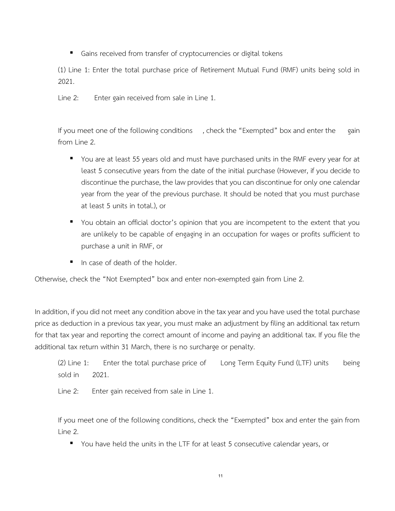■ Gains received from transfer of cryptocurrencies or digital tokens

(1) Line 1: Enter the total purchase price of Retirement Mutual Fund (RMF) units being sold in 2021.

Line 2: Enter gain received from sale in Line 1.

If you meet one of the following conditions, check the "Exempted" box and enter the gain from Line 2.

- You are at least 55 years old and must have purchased units in the RMF every year for at least 5 consecutive years from the date of the initial purchase (However, if you decide to discontinue the purchase, the law provides that you can discontinue for only one calendar year from the year of the previous purchase. It should be noted that you must purchase at least 5 units in total.), or
- You obtain an official doctor's opinion that you are incompetent to the extent that you are unlikely to be capable of engaging in an occupation for wages or profits sufficient to purchase a unit in RMF, or
- In case of death of the holder.

Otherwise, check the "Not Exempted" box and enter non-exempted gain from Line 2.

In addition, if you did not meet any condition above in the tax year and you have used the total purchase price as deduction in a previous tax year, you must make an adjustment by filing an additional tax return for that tax year and reporting the correct amount of income and paying an additional tax. If you file the additional tax return within 31 March, there is no surcharge or penalty.

(2) Line 1: Enter the total purchase price of Long Term Equity Fund (LTF) units being sold in 2021.

Line 2: Enter gain received from sale in Line 1.

If you meet one of the following conditions, check the "Exempted" box and enter the gain from Line 2.

■ You have held the units in the LTF for at least 5 consecutive calendar years, or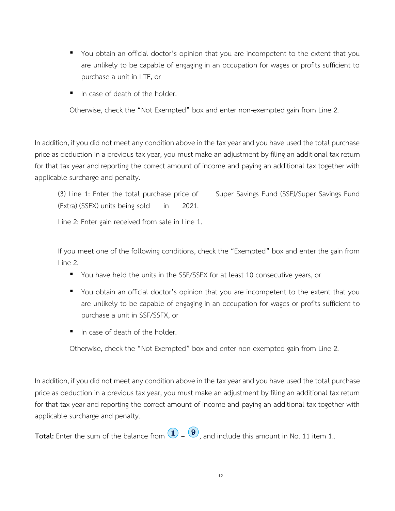- You obtain an official doctor's opinion that you are incompetent to the extent that you are unlikely to be capable of engaging in an occupation for wages or profits sufficient to purchase a unit in LTF, or
- In case of death of the holder.

Otherwise, check the "Not Exempted" box and enter non-exempted gain from Line 2.

In addition, if you did not meet any condition above in the tax year and you have used the total purchase price as deduction in a previous tax year, you must make an adjustment by filing an additional tax return for that tax year and reporting the correct amount of income and paying an additional tax together with applicable surcharge and penalty.

(3) Line 1: Enter the total purchase price of Super Savings Fund (SSF)/Super Savings Fund (Extra) (SSFX) units being sold in 2021.

Line 2: Enter gain received from sale in Line 1.

If you meet one of the following conditions, check the "Exempted" box and enter the gain from Line 2.

- You have held the units in the SSF/SSFX for at least 10 consecutive years, or
- You obtain an official doctor's opinion that you are incompetent to the extent that you are unlikely to be capable of engaging in an occupation for wages or profits sufficient to purchase a unit in SSF/SSFX, or
- In case of death of the holder.

Otherwise, check the "Not Exempted" box and enter non-exempted gain from Line 2.

In addition, if you did not meet any condition above in the tax year and you have used the total purchase price as deduction in a previous tax year, you must make an adjustment by filing an additional tax return for that tax year and reporting the correct amount of income and paying an additional tax together with applicable surcharge and penalty.

**Total:** Enter the sum of the balance from  $\left(1\right)$   $\left(0\right)$ , and include this amount in No. 11 item 1..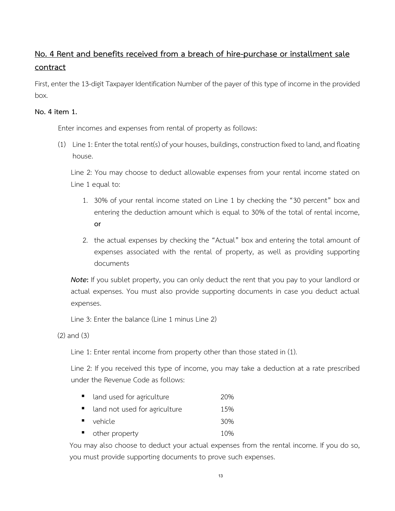## <span id="page-14-0"></span>**No. 4 Rent and benefits received from a breach of hire-purchase or installment sale contract**

First, enter the 13-digit Taxpayer Identification Number of the payer of this type of income in the provided box.

#### **No. 4 item 1.**

Enter incomes and expenses from rental of property as follows:

(1) Line 1: Enter the total rent(s) of your houses, buildings, construction fixed to land, and floating house.

Line 2: You may choose to deduct allowable expenses from your rental income stated on Line 1 equal to:

- 1. 30% of your rental income stated on Line 1 by checking the "30 percent" box and entering the deduction amount which is equal to 30% of the total of rental income, **or**
- 2. the actual expenses by checking the "Actual" box and entering the total amount of expenses associated with the rental of property, as well as providing supporting documents

*Note***:** If you sublet property, you can only deduct the rent that you pay to your landlord or actual expenses. You must also provide supporting documents in case you deduct actual expenses.

Line 3: Enter the balance (Line 1 minus Line 2)

(2) and (3)

Line 1: Enter rental income from property other than those stated in (1).

Line 2: If you received this type of income, you may take a deduction at a rate prescribed under the Revenue Code as follows:

| land used for agriculture     | 20% |
|-------------------------------|-----|
| land not used for agriculture | 15% |
| • vehicle                     | 30% |

other property 10%

You may also choose to deduct your actual expenses from the rental income. If you do so, you must provide supporting documents to prove such expenses.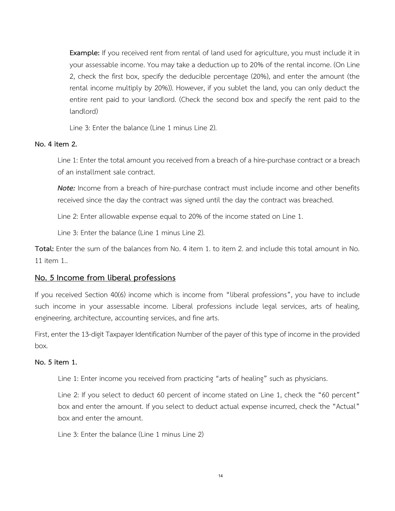**Example:** If you received rent from rental of land used for agriculture, you must include it in your assessable income. You may take a deduction up to 20% of the rental income. (On Line 2, check the first box, specify the deducible percentage (20%), and enter the amount (the rental income multiply by 20%)). However, if you sublet the land, you can only deduct the entire rent paid to your landlord. (Check the second box and specify the rent paid to the landlord)

Line 3: Enter the balance (Line 1 minus Line 2).

#### **No. 4 item 2.**

Line 1: Enter the total amount you received from a breach of a hire-purchase contract or a breach of an installment sale contract.

*Note:* Income from a breach of hire-purchase contract must include income and other benefits received since the day the contract was signed until the day the contract was breached.

Line 2: Enter allowable expense equal to 20% of the income stated on Line 1.

Line 3: Enter the balance (Line 1 minus Line 2).

**Total:** Enter the sum of the balances from No. 4 item 1. to item 2. and include this total amount in No. 11 item 1..

#### <span id="page-15-0"></span>**No. 5 Income from liberal professions**

If you received Section 40(6) income which is income from "liberal professions", you have to include such income in your assessable income. Liberal professions include legal services, arts of healing, engineering, architecture, accounting services, and fine arts.

First, enter the 13-digit Taxpayer Identification Number of the payer of this type of income in the provided box.

#### **No. 5 item 1.**

Line 1: Enter income you received from practicing "arts of healing" such as physicians.

Line 2: If you select to deduct 60 percent of income stated on Line 1, check the "60 percent" box and enter the amount. If you select to deduct actual expense incurred, check the "Actual" box and enter the amount.

Line 3: Enter the balance (Line 1 minus Line 2)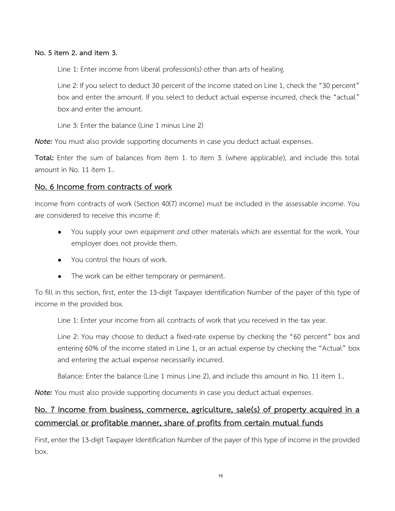#### **No. 5 item 2. and item 3.**

Line 1: Enter income from liberal profession(s) other than arts of healing.

Line 2: If you select to deduct 30 percent of the income stated on Line 1, check the "30 percent" box and enter the amount. If you select to deduct actual expense incurred, check the "actual" box and enter the amount.

Line 3: Enter the balance (Line 1 minus Line 2)

*Note:* You must also provide supporting documents in case you deduct actual expenses.

**Total:** Enter the sum of balances from item 1. to item 3. (where applicable), and include this total amount in No. 11 item 1..

#### <span id="page-16-0"></span>**No. 6 Income from contracts of work**

Income from contracts of work (Section 40(7) income) must be included in the assessable income. You are considered to receive this income if:

- You supply your own equipment *and* other materials which are essential for the work. Your employer does not provide them.
- You control the hours of work.
- The work can be either temporary or permanent.

To fill in this section, first, enter the 13-digit Taxpayer Identification Number of the payer of this type of income in the provided box.

Line 1: Enter your income from all contracts of work that you received in the tax year.

Line 2: You may choose to deduct a fixed-rate expense by checking the "60 percent" box and entering 60% of the income stated in Line 1, or an actual expense by checking the "Actual" box and entering the actual expense necessarily incurred.

Balance: Enter the balance (Line 1 minus Line 2), and include this amount in No. 11 item 1..

*Note:* You must also provide supporting documents in case you deduct actual expenses.

## <span id="page-16-1"></span>**No. 7 Income from business, commerce, agriculture, sale(s) of property acquired in a commercial or profitable manner, share of profits from certain mutual funds**

First, enter the 13-digit Taxpayer Identification Number of the payer of this type of income in the provided box.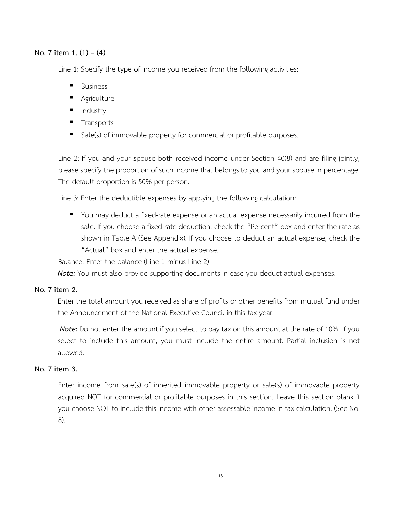#### **No. 7 item 1. (1) – (4)**

Line 1: Specify the type of income you received from the following activities:

- **Business**
- Agriculture
- Industry
- Transports
- Sale(s) of immovable property for commercial or profitable purposes.

Line 2: If you and your spouse both received income under Section 40(8) and are filing jointly, please specify the proportion of such income that belongs to you and your spouse in percentage. The default proportion is 50% per person.

Line 3: Enter the deductible expenses by applying the following calculation:

■ You may deduct a fixed-rate expense or an actual expense necessarily incurred from the sale. If you choose a fixed-rate deduction, check the "Percent" box and enter the rate as shown in Table A (See Appendix). If you choose to deduct an actual expense, check the "Actual" box and enter the actual expense.

Balance: Enter the balance (Line 1 minus Line 2)

*Note:* You must also provide supporting documents in case you deduct actual expenses.

#### **No. 7 item 2.**

Enter the total amount you received as share of profits or other benefits from mutual fund under the Announcement of the National Executive Council in this tax year.

*Note:* Do not enter the amount if you select to pay tax on this amount at the rate of 10%. If you select to include this amount, you must include the entire amount. Partial inclusion is not allowed.

#### **No. 7 item 3.**

Enter income from sale(s) of inherited immovable property or sale(s) of immovable property acquired NOT for commercial or profitable purposes in this section. Leave this section blank if you choose NOT to include this income with other assessable income in tax calculation. (See No. 8).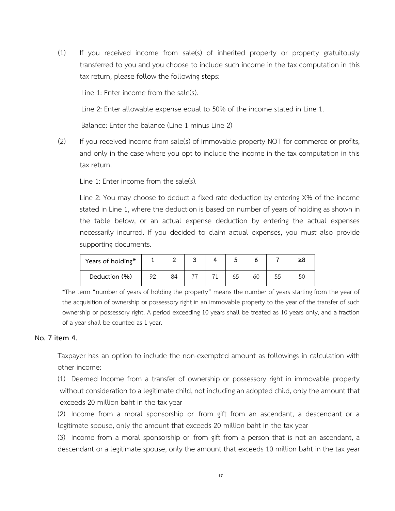(1) If you received income from sale(s) of inherited property or property gratuitously transferred to you and you choose to include such income in the tax computation in this tax return, please follow the following steps:

Line 1: Enter income from the sale(s).

Line 2: Enter allowable expense equal to 50% of the income stated in Line 1.

Balance: Enter the balance (Line 1 minus Line 2)

(2) If you received income from sale(s) of immovable property NOT for commerce or profits, and only in the case where you opt to include the income in the tax computation in this tax return.

Line 1: Enter income from the sale(s).

Line 2: You may choose to deduct a fixed-rate deduction by entering X% of the income stated in Line 1, where the deduction is based on number of years of holding as shown in the table below, or an actual expense deduction by entering the actual expenses necessarily incurred. If you decided to claim actual expenses, you must also provide supporting documents.

| Years of holding* |    |  |    |  |
|-------------------|----|--|----|--|
| Deduction (%)     | 84 |  | 60 |  |

\*The term "number of years of holding the property" means the number of years starting from the year of the acquisition of ownership or possessory right in an immovable property to the year of the transfer of such ownership or possessory right. A period exceeding 10 years shall be treated as 10 years only, and a fraction of a year shall be counted as 1 year.

#### **No. 7 item 4.**

Taxpayer has an option to include the non-exempted amount as followings in calculation with other income:

(1) Deemed Income from a transfer of ownership or possessory right in immovable property without consideration to a legitimate child, not including an adopted child, only the amount that exceeds 20 million baht in the tax year

(2) Income from a moral sponsorship or from gift from an ascendant, a descendant or a legitimate spouse, only the amount that exceeds 20 million baht in the tax year

(3) Income from a moral sponsorship or from gift from a person that is not an ascendant, a descendant or a legitimate spouse, only the amount that exceeds 10 million baht in the tax year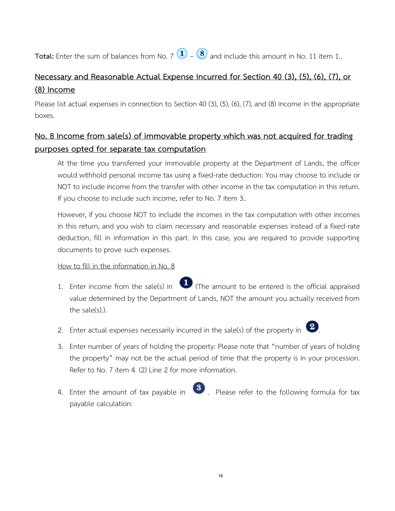**Total:** Enter the sum of balances from No. 7  $\Omega$  –  $\mathbf{\textcircled{s}}$  and include this amount in No. 11 item 1..

## <span id="page-19-0"></span>**Necessary and Reasonable Actual Expense Incurred for Section 40 (3), (5), (6), (7), or (8) Income**

Please list actual expenses in connection to Section 40 (3), (5), (6), (7), and (8) income in the appropriate boxes.

## <span id="page-19-1"></span>**No. 8 Income from sale(s) of immovable property which was not acquired for trading purposes opted for separate tax computation**

At the time you transferred your immovable property at the Department of Lands, the officer would withhold personal income tax using a fixed-rate deduction. You may choose to include or NOT to include income from the transfer with other income in the tax computation in this return. If you choose to include such income, refer to No. 7 item 3..

However, if you choose NOT to include the incomes in the tax computation with other incomes in this return, and you wish to claim necessary and reasonable expenses instead of a fixed-rate deduction, fill in information in this part. In this case, you are required to provide supporting documents to prove such expenses.

How to fill in the information in No. 8

- 1. Enter income from the sale(s) in  $\bullet$  (The amount to be entered is the official appraised value determined by the Department of Lands, NOT the amount you actually received from the sale(s).).
- 2. Enter actual expenses necessarily incurred in the sale(s) of the property in  $\boxed{2}$ .
	-
- 3. Enter number of years of holding the property: Please note that "number of years of holding the property" may not be the actual period of time that the property is in your procession. Refer to No. 7 item 4. (2) Line 2 for more information.
- 4. Enter the amount of tax payable in  $\bullet$  . Please refer to the following formula for tax payable calculation: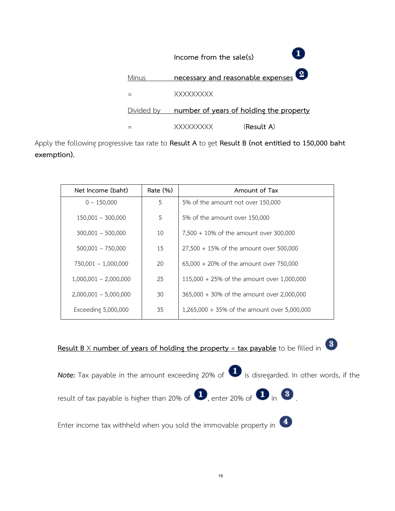o **Income from the sale(s)** Minus **necessary and reasonable expenses** = XXXXXXXXX Divided by **number of years of holding the property** = XXXXXXXXX (**Result A**)

Apply the following progressive tax rate to **Result A** to get **Result B (not entitled to 150,000 baht exemption).**

| Net Income (baht)       | Rate (%) | Amount of Tax                                 |
|-------------------------|----------|-----------------------------------------------|
| $0 - 150,000$           | 5        | 5% of the amount not over 150,000             |
| $150,001 - 300,000$     | 5        | 5% of the amount over 150,000                 |
| $300,001 - 500,000$     | 10       | 7,500 + 10% of the amount over 300,000        |
| $500,001 - 750,000$     | 15       | $27,500 + 15\%$ of the amount over 500,000    |
| $750,001 - 1,000,000$   | 20       | $65,000 + 20\%$ of the amount over 750,000    |
| $1,000,001 - 2,000,000$ | 25       | $115,000 + 25\%$ of the amount over 1,000,000 |
| $2,000,001 - 5,000,000$ | 30       | 365,000 + 30% of the amount over 2,000,000    |
| Exceeding 5,000,000     | 35       | 1,265,000 + 35% of the amount over 5,000,000  |

**Result B** X number of years of holding the property = tax payable to be filled in

**Note:** Tax payable in the amount exceeding 20% of **i**s disregarded. In other words, if the



Enter income tax withheld when you sold the immovable property in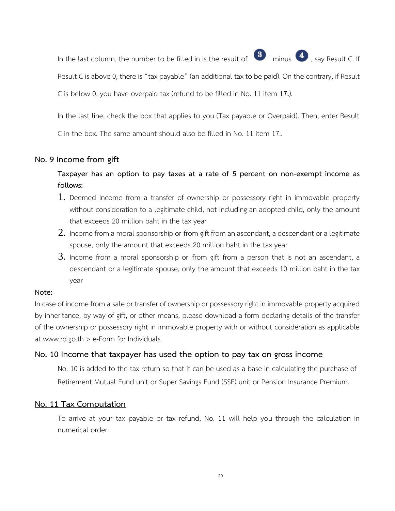In the last column, the number to be filled in is the result of  $\begin{array}{|c|c|c|}\n\hline\n\text{5} & \text{5} & \text{6} & \text{6} \\
\hline\n\text{6} & \text{6} & \text{7} & \text{6} & \text{7} \\
\hline\n\text{7} & \text{8} & \text{7} & \text{8} & \text{7} \\
\hline\n\text{8} & \text{9} & \text{10} & \text{8} & \text{9} \\
\hline\n\text{9} & \$ 



Result C is above 0, there is "tax payable" (an additional tax to be paid). On the contrary, if Result C is below 0, you have overpaid tax (refund to be filled in No. 11 item 1**7.**).

In the last line, check the box that applies to you (Tax payable or Overpaid). Then, enter Result

C in the box. The same amount should also be filled in No. 11 item 17..

#### <span id="page-21-0"></span>**No. 9 Income from gift**

**Taxpayer has an option to pay taxes at a rate of 5 percent on non-exempt income as follows:**

- 1. Deemed Income from a transfer of ownership or possessory right in immovable property without consideration to a legitimate child, not including an adopted child, only the amount that exceeds 20 million baht in the tax year
- $2.$  Income from a moral sponsorship or from gift from an ascendant, a descendant or a legitimate spouse, only the amount that exceeds 20 million baht in the tax year
- 3. Income from a moral sponsorship or from gift from a person that is not an ascendant, a descendant or a legitimate spouse, only the amount that exceeds 10 million baht in the tax year

#### **Note:**

In case of income from a sale or transfer of ownership or possessory right in immovable property acquired by inheritance, by way of gift, or other means, please download a form declaring details of the transfer of the ownership or possessory right in immovable property with or without consideration as applicable at [www.rd.go.th](http://www.rd.go.th/)  $> e$ -Form for Individuals.

#### <span id="page-21-1"></span>**No. 10 Income that taxpayer has used the option to pay tax on gross income**

No. 10 is added to the tax return so that it can be used as a base in calculating the purchase of Retirement Mutual Fund unit or Super Savings Fund (SSF) unit or Pension Insurance Premium.

#### <span id="page-21-2"></span>**No. 11 Tax Computation**

To arrive at your tax payable or tax refund, No. 11 will help you through the calculation in numerical order.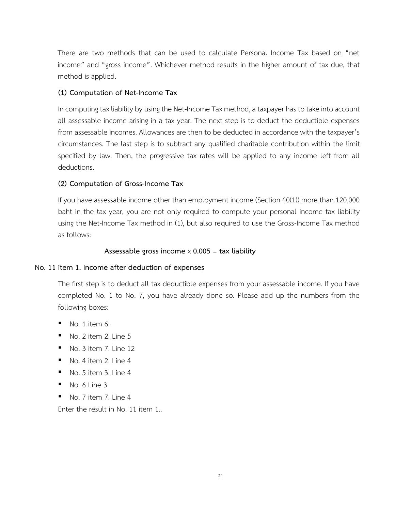There are two methods that can be used to calculate Personal Income Tax based on "net income" and "gross income". Whichever method results in the higher amount of tax due, that method is applied.

#### **(1) Computation of Net-Income Tax**

In computing tax liability by using the Net-Income Tax method, a taxpayer has to take into account all assessable income arising in a tax year. The next step is to deduct the deductible expenses from assessable incomes. Allowances are then to be deducted in accordance with the taxpayer's circumstances. The last step is to subtract any qualified charitable contribution within the limit specified by law. Then, the progressive tax rates will be applied to any income left from all deductions.

#### **(2) Computation of Gross-Income Tax**

If you have assessable income other than employment income (Section 40(1)) more than 120,000 baht in the tax year, you are not only required to compute your personal income tax liability using the Net-Income Tax method in (1), but also required to use the Gross-Income Tax method as follows:

#### **Assessable gross income** x **0.005** = **tax liability**

#### **No. 11 item 1. Income after deduction of expenses**

The first step is to deduct all tax deductible expenses from your assessable income. If you have completed No. 1 to No. 7, you have already done so. Please add up the numbers from the following boxes:

- No. 1 item 6.
- No. 2 item 2. Line 5
- No. 3 item 7. Line 12
- No. 4 item 2. Line 4
- No. 5 item 3. Line 4
- No. 6 Line 3
- No. 7 item 7. Line 4

Enter the result in No. 11 item 1..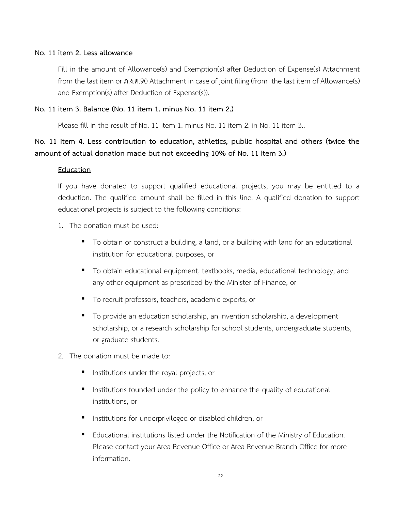#### **No. 11 item 2. Less allowance**

Fill in the amount of Allowance(s) and Exemption(s) after Deduction of Expense(s) Attachment from the last item or ภ.ง.ด.90 Attachment in case of joint filing (from the last item of Allowance(s) and Exemption(s) after Deduction of Expense(s)).

#### **No. 11 item 3. Balance (No. 11 item 1. minus No. 11 item 2.)**

Please fill in the result of No. 11 item 1. minus No. 11 item 2. in No. 11 item 3..

### **No. 11 item 4. Less contribution to education, athletics, public hospital and others (twice the amount of actual donation made but not exceeding 10% of No. 11 item 3.)**

#### **Education**

If you have donated to support qualified educational projects, you may be entitled to a deduction. The qualified amount shall be filled in this line. A qualified donation to support educational projects is subject to the following conditions:

- 1. The donation must be used:
	- To obtain or construct a building, a land, or a building with land for an educational institution for educational purposes, or
	- To obtain educational equipment, textbooks, media, educational technology, and any other equipment as prescribed by the Minister of Finance, or
	- **To recruit professors, teachers, academic experts, or**
	- To provide an education scholarship, an invention scholarship, a development scholarship, or a research scholarship for school students, undergraduate students, or graduate students.
- 2. The donation must be made to:
	- Institutions under the royal projects, or
	- **■** Institutions founded under the policy to enhance the quality of educational institutions, or
	- Institutions for underprivileged or disabled children, or
	- Educational institutions listed under the Notification of the Ministry of Education. Please contact your Area Revenue Office or Area Revenue Branch Office for more information.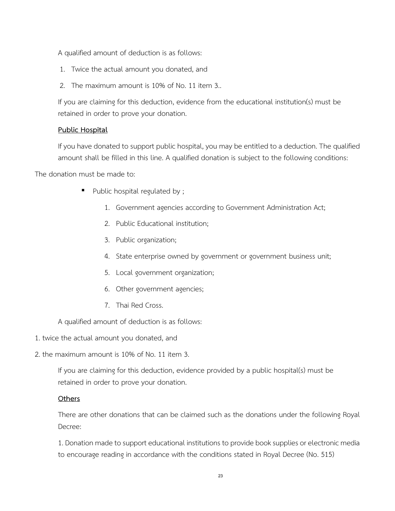A qualified amount of deduction is as follows:

- 1. Twice the actual amount you donated, and
- 2. The maximum amount is 10% of No. 11 item 3..

If you are claiming for this deduction, evidence from the educational institution(s) must be retained in order to prove your donation.

#### **Public Hospital**

If you have donated to support public hospital, you may be entitled to a deduction. The qualified amount shall be filled in this line. A qualified donation is subject to the following conditions:

The donation must be made to:

- Public hospital regulated by;
	- 1. Government agencies according to Government Administration Act;
	- 2. Public Educational institution;
	- 3. Public organization;
	- 4. State enterprise owned by government or government business unit;
	- 5. Local government organization;
	- 6. Other government agencies;
	- 7. Thai Red Cross.

A qualified amount of deduction is as follows:

- 1. twice the actual amount you donated, and
- 2. the maximum amount is 10% of No. 11 item 3.

If you are claiming for this deduction, evidence provided by a public hospital(s) must be retained in order to prove your donation.

#### **Others**

There are other donations that can be claimed such as the donations under the following Royal Decree:

1. Donation made to support educational institutions to provide book supplies or electronic media to encourage reading in accordance with the conditions stated in Royal Decree (No. 515)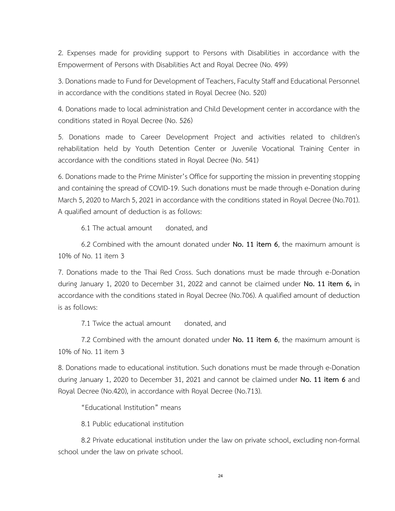2. Expenses made for providing support to Persons with Disabilities in accordance with the Empowerment of Persons with Disabilities Act and Royal Decree (No. 499)

3. Donations made to Fund for Development of Teachers, Faculty Staff and Educational Personnel in accordance with the conditions stated in Royal Decree (No. 520)

4. Donations made to local administration and Child Development center in accordance with the conditions stated in Royal Decree (No. 526)

5. Donations made to Career Development Project and activities related to children's rehabilitation held by Youth Detention Center or Juvenile Vocational Training Center in accordance with the conditions stated in Royal Decree (No. 541)

6. Donations made to the Prime Minister's Office for supporting the mission in preventing stopping and containing the spread of COVID-19. Such donations must be made through e-Donation during March 5, 2020 to March 5, 2021 in accordance with the conditions stated in Royal Decree (No.701). A qualified amount of deduction is as follows:

6.1 The actual amount donated, and

6.2 Combined with the amount donated under **No. 11 item 6**, the maximum amount is 10% of No. 11 item 3

7. Donations made to the Thai Red Cross. Such donations must be made through e-Donation during January 1, 2020 to December 31, 2022 and cannot be claimed under **No. 11 item 6,** in accordance with the conditions stated in Royal Decree (No.706). A qualified amount of deduction is as follows:

7.1 Twice the actual amount donated, and

7.2 Combined with the amount donated under **No. 11 item 6**, the maximum amount is 10% of No. 11 item 3

8. Donations made to educational institution. Such donations must be made through e-Donation during January 1, 2020 to December 31, 2021 and cannot be claimed under **No. 11 item 6** and Royal Decree (No.420), in accordance with Royal Decree (No.713).

"Educational Institution" means

8.1 Public educational institution

8.2 Private educational institution under the law on private school, excluding non-formal school under the law on private school.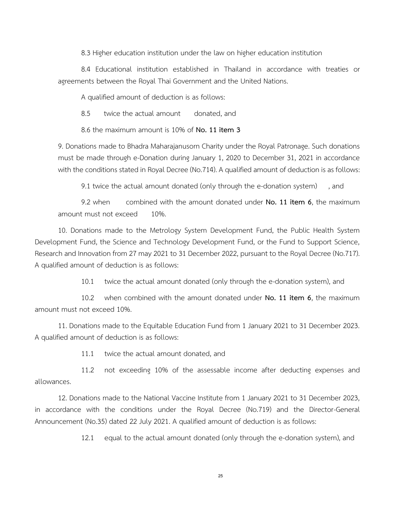8.3 Higher education institution under the law on higher education institution

8.4 Educational institution established in Thailand in accordance with treaties or agreements between the Royal Thai Government and the United Nations.

A qualified amount of deduction is as follows:

8.5 twice the actual amount donated, and

8.6 the maximum amount is 10% of **No. 11 item 3**

9. Donations made to Bhadra Maharajanusorn Charity under the Royal Patronage. Such donations must be made through e-Donation during January 1, 2020 to December 31, 2021 in accordance with the conditions stated in Royal Decree (No.714). A qualified amount of deduction is as follows:

9.1 twice the actual amount donated (only through the e-donation system), and

9.2 when combined with the amount donated under **No. 11 item 6**, the maximum amount must not exceed 10%.

10. Donations made to the Metrology System Development Fund, the Public Health System Development Fund, the Science and Technology Development Fund, or the Fund to Support Science, Research and Innovation from 27 may 2021 to 31 December 2022, pursuant to the Royal Decree (No.717). A qualified amount of deduction is as follows:

10.1 twice the actual amount donated (only through the e-donation system), and

10.2 when combined with the amount donated under **No. 11 item 6**, the maximum amount must not exceed 10%.

11. Donations made to the Equitable Education Fund from 1 January 2021 to 31 December 2023. A qualified amount of deduction is as follows:

11.1 twice the actual amount donated, and

11.2 not exceeding 10% of the assessable income after deducting expenses and allowances.

12. Donations made to the National Vaccine Institute from 1 January 2021 to 31 December 2023, in accordance with the conditions under the Royal Decree (No.719) and the Director-General Announcement (No.35) dated 22 July 2021. A qualified amount of deduction is as follows:

12.1 equal to the actual amount donated (only through the e-donation system), and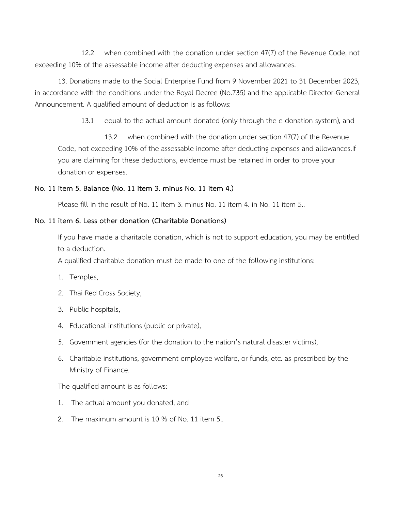12.2 when combined with the donation under section 47(7) of the Revenue Code, not exceeding 10% of the assessable income after deducting expenses and allowances.

13. Donations made to the Social Enterprise Fund from 9 November 2021 to 31 December 2023, in accordance with the conditions under the Royal Decree (No.735) and the applicable Director-General Announcement. A qualified amount of deduction is as follows:

13.1 equal to the actual amount donated (only through the e-donation system), and

13.2 when combined with the donation under section 47(7) of the Revenue Code, not exceeding 10% of the assessable income after deducting expenses and allowances.If you are claiming for these deductions, evidence must be retained in order to prove your donation or expenses.

#### **No. 11 item 5. Balance (No. 11 item 3. minus No. 11 item 4.)**

Please fill in the result of No. 11 item 3. minus No. 11 item 4. in No. 11 item 5..

#### **No. 11 item 6. Less other donation (Charitable Donations)**

If you have made a charitable donation, which is not to support education, you may be entitled to a deduction.

A qualified charitable donation must be made to one of the following institutions:

- 1. Temples,
- 2. Thai Red Cross Society,
- 3. Public hospitals,
- 4. Educational institutions (public or private),
- 5. Government agencies (for the donation to the nation's natural disaster victims),
- 6. Charitable institutions, government employee welfare, or funds, etc. as prescribed by the Ministry of Finance.

The qualified amount is as follows:

- 1. The actual amount you donated, and
- 2. The maximum amount is 10 % of No. 11 item 5..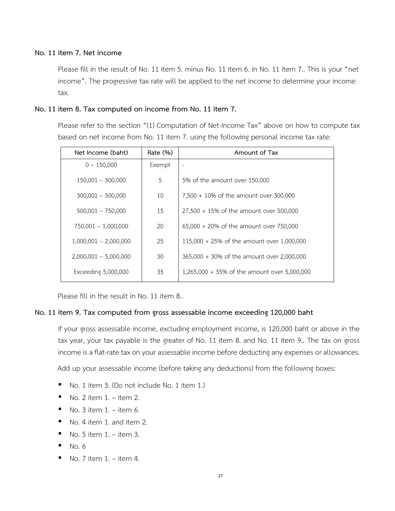#### **No. 11 item 7. Net income**

Please fill in the result of No. 11 item 5. minus No. 11 item 6. in No. 11 item 7.. This is your "net income". The progressive tax rate will be applied to the net income to determine your income tax.

#### **No. 11 item 8. Tax computed on income from No. 11 item 7.**

Please refer to the section "(1) Computation of Net-Income Tax" above on how to compute tax based on net income from No. 11 item 7. using the following personal income tax rate:

| Net Income (baht)       | Rate (%) | Amount of Tax                                 |
|-------------------------|----------|-----------------------------------------------|
| $0 - 150,000$           | Exempt   | $\overline{\phantom{a}}$                      |
| $150,001 - 300,000$     | 5        | 5% of the amount over 150,000                 |
| $300,001 - 500,000$     | 10       | $7,500 + 10\%$ of the amount over 300,000     |
| $500,001 - 750,000$     | 15       | $27,500 + 15\%$ of the amount over 500,000    |
| 750,001 - 1,000,000     | 20       | $65,000 + 20\%$ of the amount over 750,000    |
| $1,000,001 - 2,000,000$ | 25       | $115,000 + 25\%$ of the amount over 1,000,000 |
| $2,000,001 - 5,000,000$ | 30       | 365,000 + 30% of the amount over 2,000,000    |
| Exceeding 5,000,000     | 35       | 1,265,000 + 35% of the amount over 5,000,000  |

Please fill in the result in No. 11 item 8..

#### **No. 11 item 9. Tax computed from gross assessable income exceeding 120,000 baht**

If your gross assessable income, excluding employment income, is 120,000 baht or above in the tax year, your tax payable is the greater of No. 11 item 8. and No. 11 item 9.. The tax on gross income is a flat-rate tax on your assessable income before deducting any expenses or allowances.

Add up your assessable income (before taking any deductions) from the following boxes:

- No. 1 item 3. (Do not include No. 1 item 1.)
- $\blacksquare$  No. 2 item 1. item 2.
- $\blacksquare$  No. 3 item 1. item 6.
- No. 4 item 1. and item 2.
- $\blacksquare$  No. 5 item 1. item 3.
- $\blacksquare$  No. 6
- $\blacksquare$  No. 7 item 1. item 4.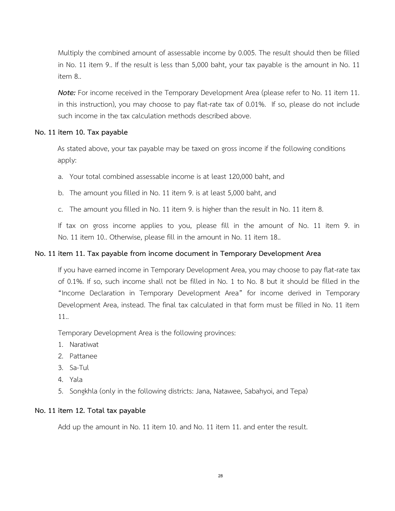Multiply the combined amount of assessable income by 0.005. The result should then be filled in No. 11 item 9.. If the result is less than 5,000 baht, your tax payable is the amount in No. 11 item 8..

*Note:* For income received in the Temporary Development Area (please refer to No. 11 item 11. in this instruction), you may choose to pay flat-rate tax of 0.01%. If so, please do not include such income in the tax calculation methods described above.

#### **No. 11 item 10. Tax payable**

As stated above, your tax payable may be taxed on gross income if the following conditions apply:

- a. Your total combined assessable income is at least 120,000 baht, and
- b. The amount you filled in No. 11 item 9. is at least 5,000 baht, and
- c. The amount you filled in No. 11 item 9. is higher than the result in No. 11 item 8.

If tax on gross income applies to you, please fill in the amount of No. 11 item 9. in No. 11 item 10.. Otherwise, please fill in the amount in No. 11 item 18..

#### **No. 11 item 11. Tax payable from income document in Temporary Development Area**

If you have earned income in Temporary Development Area, you may choose to pay flat-rate tax of 0.1%. If so, such income shall not be filled in No. 1 to No. 8 but it should be filled in the "Income Declaration in Temporary Development Area" for income derived in Temporary Development Area, instead. The final tax calculated in that form must be filled in No. 11 item 11..

Temporary Development Area is the following provinces:

- 1. Naratiwat
- 2. Pattanee
- 3. Sa-Tul
- 4. Yala
- 5. Songkhla (only in the following districts: Jana, Natawee, Sabahyoi, and Tepa)

#### **No. 11 item 12. Total tax payable**

Add up the amount in No. 11 item 10. and No. 11 item 11. and enter the result.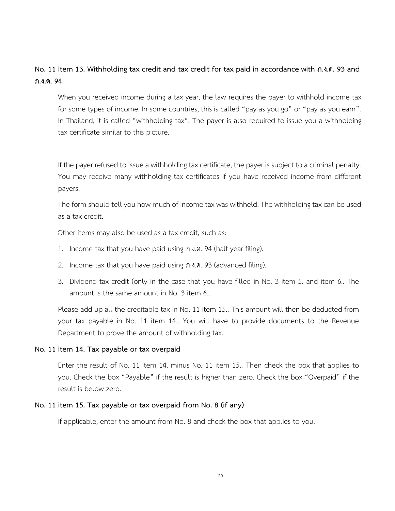## **No. 11 item 13. Withholding tax credit and tax credit for tax paid in accordance with ภ.ง.ด. 93 and ภ.ง.ด. 94**

When you received income during a tax year, the law requires the payer to withhold income tax for some types of income. In some countries, this is called "pay as you go" or "pay as you earn". In Thailand, it is called "withholding tax". The payer is also required to issue you a withholding tax certificate similar to this picture.

If the payer refused to issue a withholding tax certificate, the payer is subject to a criminal penalty. You may receive many withholding tax certificates if you have received income from different payers.

The form should tell you how much of income tax was withheld. The withholding tax can be used as a tax credit.

Other items may also be used as a tax credit, such as:

- 1. Income tax that you have paid using ภ.ง.ด. 94 (half year filing).
- 2. Income tax that you have paid using ภ.ง.ด. 93 (advanced filing).
- 3. Dividend tax credit (only in the case that you have filled in No. 3 item 5. and item 6.. The amount is the same amount in No. 3 item 6..

Please add up all the creditable tax in No. 11 item 15.. This amount will then be deducted from your tax payable in No. 11 item 14.. You will have to provide documents to the Revenue Department to prove the amount of withholding tax.

#### **No. 11 item 14. Tax payable or tax overpaid**

Enter the result of No. 11 item 14. minus No. 11 item 15.. Then check the box that applies to you. Check the box "Payable" if the result is higher than zero. Check the box "Overpaid" if the result is below zero.

#### **No. 11 item 15. Tax payable or tax overpaid from No. 8 (if any)**

If applicable, enter the amount from No. 8 and check the box that applies to you.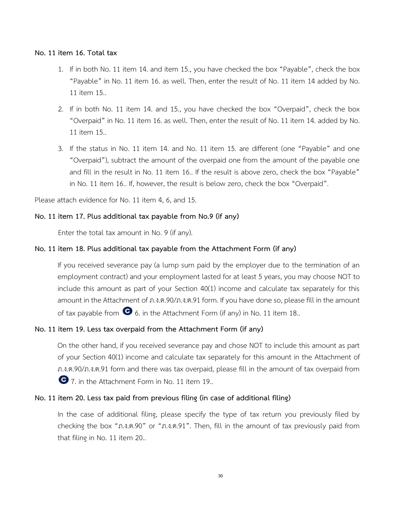#### **No. 11 item 16. Total tax**

- 1. If in both No. 11 item 14. and item 15., you have checked the box "Payable", check the box "Payable" in No. 11 item 16. as well. Then, enter the result of No. 11 item 14 added by No. 11 item 15..
- 2. If in both No. 11 item 14. and 15., you have checked the box "Overpaid", check the box "Overpaid" in No. 11 item 16. as well. Then, enter the result of No. 11 item 14. added by No. 11 item 15..
- 3. If the status in No. 11 item 14. and No. 11 item 15. are different (one "Payable" and one "Overpaid"), subtract the amount of the overpaid one from the amount of the payable one and fill in the result in No. 11 item 16.. If the result is above zero, check the box "Payable" in No. 11 item 16.. If, however, the result is below zero, check the box "Overpaid".

Please attach evidence for No. 11 item 4, 6, and 15.

#### **No. 11 item 17. Plus additional tax payable from No.9 (if any)**

Enter the total tax amount in No. 9 (if any).

#### **No. 11 item 18. Plus additional tax payable from the Attachment Form (if any)**

If you received severance pay (a lump sum paid by the employer due to the termination of an employment contract) and your employment lasted for at least 5 years, you may choose NOT to include this amount as part of your Section 40(1) income and calculate tax separately for this amount in the Attachment of ภ.ง.ด.90/ภ.ง.ด.91 form. If you have done so, please fill in the amount of tax payable from  $\bigodot$  6. in the Attachment Form (if any) in No. 11 item 18.

#### **No. 11 item 19. Less tax overpaid from the Attachment Form (if any)**

On the other hand, if you received severance pay and chose NOT to include this amount as part of your Section 40(1) income and calculate tax separately for this amount in the Attachment of ภ.ง.ด.90/ภ.ง.ด.91 form and there was tax overpaid, please fill in the amount of tax overpaid from 7. in the Attachment Form in No. 11 item 19..

#### **No. 11 item 20. Less tax paid from previous filing (in case of additional filing)**

In the case of additional filing, please specify the type of tax return you previously filed by checking the box "ภ.ง.ด.90" or "ภ.ง.ด.91". Then, fill in the amount of tax previously paid from that filing in No. 11 item 20..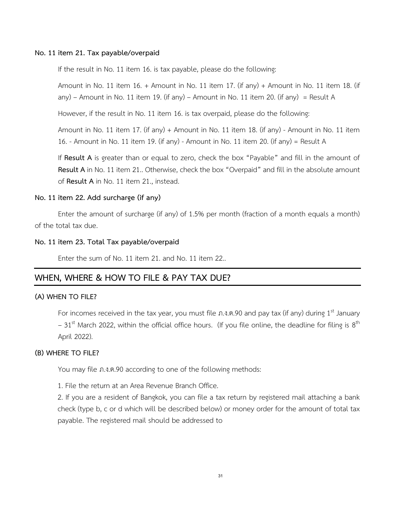#### **No. 11 item 21. Tax payable/overpaid**

If the result in No. 11 item 16. is tax payable, please do the following:

Amount in No. 11 item 16. + Amount in No. 11 item 17. (if any) + Amount in No. 11 item 18. (if any) – Amount in No. 11 item 19. (if any) – Amount in No. 11 item 20. (if any) = Result A

However, if the result in No. 11 item 16. is tax overpaid, please do the following:

Amount in No. 11 item 17. (if any) + Amount in No. 11 item 18. (if any) - Amount in No. 11 item 16. - Amount in No. 11 item 19. (if any) - Amount in No. 11 item 20. (if any) = Result A

If **Result A** is greater than or equal to zero, check the box "Payable" and fill in the amount of **Result A** in No. 11 item 21.. Otherwise, check the box "Overpaid" and fill in the absolute amount of **Result A** in No. 11 item 21., instead.

#### **No. 11 item 22. Add surcharge (if any)**

Enter the amount of surcharge (if any) of 1.5% per month (fraction of a month equals a month) of the total tax due.

#### **No. 11 item 23. Total Tax payable/overpaid**

Enter the sum of No. 11 item 21. and No. 11 item 22..

#### <span id="page-32-0"></span>**WHEN, WHERE & HOW TO FILE & PAY TAX DUE?**

#### **(A) WHEN TO FILE?**

For incomes received in the tax year, you must file  $\hat{n}$ . 0.90 and pay tax (if any) during 1<sup>st</sup> January – 31<sup>st</sup> March 2022, within the official office hours. (If you file online, the deadline for filing is  $8^{\text{th}}$ April 2022).

#### **(B) WHERE TO FILE?**

You may file ภ.ง.ด.90 according to one of the following methods:

1. File the return at an Area Revenue Branch Office.

2. If you are a resident of Bangkok, you can file a tax return by registered mail attaching a bank check (type b, c or d which will be described below) or money order for the amount of total tax payable. The registered mail should be addressed to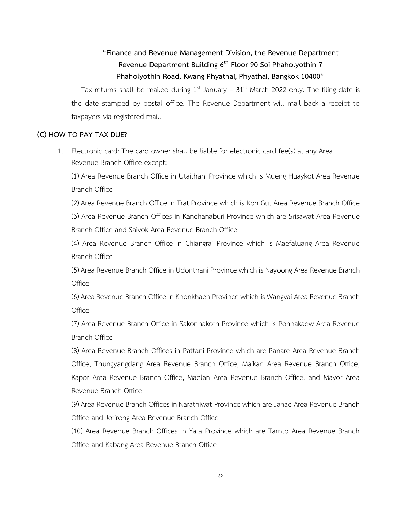## **"Finance and Revenue Management Division, the Revenue Department Revenue Department Building 6th Floor 90 Soi Phaholyothin 7 Phaholyothin Road, Kwang Phyathai, Phyathai, Bangkok 10400"**

Tax returns shall be mailed during  $1^{st}$  January – 31<sup>st</sup> March 2022 only. The filing date is the date stamped by postal office. The Revenue Department will mail back a receipt to taxpayers via registered mail.

#### **(C) HOW TO PAY TAX DUE?**

1. Electronic card: The card owner shall be liable for electronic card fee(s) at any Area Revenue Branch Office except:

(1) Area Revenue Branch Office in Utaithani Province which is Mueng Huaykot Area Revenue Branch Office

(2) Area Revenue Branch Office in Trat Province which is Koh Gut Area Revenue Branch Office (3) Area Revenue Branch Offices in Kanchanaburi Province which are Srisawat Area Revenue Branch Office and Saiyok Area Revenue Branch Office

(4) Area Revenue Branch Office in Chiangrai Province which is Maefaluang Area Revenue Branch Office

(5) Area Revenue Branch Office in Udonthani Province which is Nayoong Area Revenue Branch **Office** 

(6) Area Revenue Branch Office in Khonkhaen Province which is Wangyai Area Revenue Branch **Office** 

(7) Area Revenue Branch Office in Sakonnakorn Province which is Ponnakaew Area Revenue Branch Office

(8) Area Revenue Branch Offices in Pattani Province which are Panare Area Revenue Branch Office, Thungyangdang Area Revenue Branch Office, Maikan Area Revenue Branch Office, Kapor Area Revenue Branch Office, Maelan Area Revenue Branch Office, and Mayor Area Revenue Branch Office

(9) Area Revenue Branch Offices in Narathiwat Province which are Janae Area Revenue Branch Office and Jorirong Area Revenue Branch Office

(10) Area Revenue Branch Offices in Yala Province which are Tarnto Area Revenue Branch Office and Kabang Area Revenue Branch Office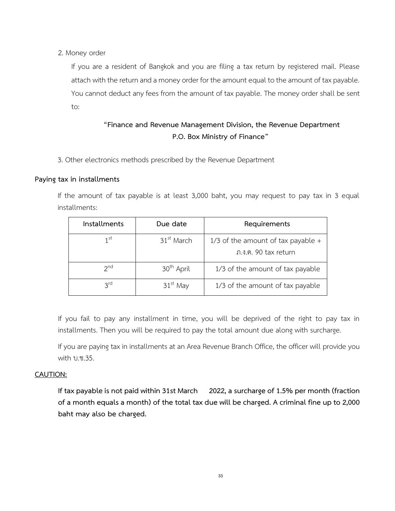#### 2. Money order

If you are a resident of Bangkok and you are filing a tax return by registered mail. Please attach with the return and a money order for the amount equal to the amount of tax payable. You cannot deduct any fees from the amount of tax payable. The money order shall be sent to:

## **"Finance and Revenue Management Division, the Revenue Department P.O. Box Ministry of Finance"**

3. Other electronics methods prescribed by the Revenue Department

#### **Paying tax in installments**

If the amount of tax payable is at least 3,000 baht, you may request to pay tax in 3 equal installments:

| Installments    | Due date               | Requirements                                                 |
|-----------------|------------------------|--------------------------------------------------------------|
| 1 <sup>st</sup> | 31 <sup>st</sup> March | $1/3$ of the amount of tax payable +<br>ภ.ง.ด. 90 tax return |
| $2^{nd}$        | 30 <sup>th</sup> April | 1/3 of the amount of tax payable                             |
| $2^{\text{rd}}$ | $31st$ May             | 1/3 of the amount of tax payable                             |

If you fail to pay any installment in time, you will be deprived of the right to pay tax in installments. Then you will be required to pay the total amount due along with surcharge.

If you are paying tax in installments at an Area Revenue Branch Office, the officer will provide you with บ.ช.35.

#### **CAUTION:**

<span id="page-34-0"></span>**If tax payable is not paid within 31st March 2022, a surcharge of 1.5% per month (fraction of a month equals a month) of the total tax due will be charged. A criminal fine up to 2,000 baht may also be charged.**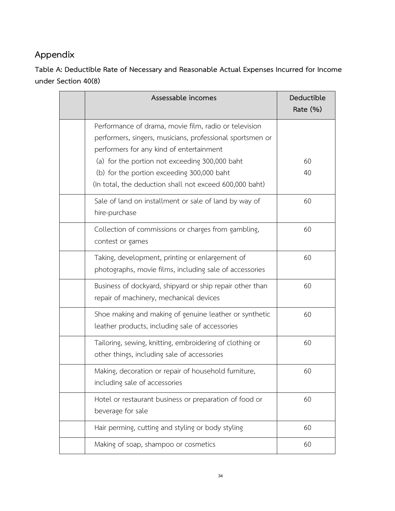## **Appendix**

**Table A: Deductible Rate of Necessary and Reasonable Actual Expenses Incurred for Income under Section 40(8)**

| Assessable incomes                                                                                                                                             | Deductible<br>Rate (%) |
|----------------------------------------------------------------------------------------------------------------------------------------------------------------|------------------------|
| Performance of drama, movie film, radio or television<br>performers, singers, musicians, professional sportsmen or<br>performers for any kind of entertainment |                        |
| (a) for the portion not exceeding 300,000 baht<br>(b) for the portion exceeding 300,000 baht<br>(In total, the deduction shall not exceed 600,000 baht)        | 60<br>40               |
| Sale of land on installment or sale of land by way of<br>hire-purchase                                                                                         | 60                     |
| Collection of commissions or charges from gambling,<br>contest or games                                                                                        | 60                     |
| Taking, development, printing or enlargement of<br>photographs, movie films, including sale of accessories                                                     | 60                     |
| Business of dockyard, shipyard or ship repair other than<br>repair of machinery, mechanical devices                                                            | 60                     |
| Shoe making and making of genuine leather or synthetic<br>leather products, including sale of accessories                                                      | 60                     |
| Tailoring, sewing, knitting, embroidering of clothing or<br>other things, including sale of accessories                                                        | 60                     |
| Making, decoration or repair of household furniture,<br>including sale of accessories                                                                          | 60                     |
| Hotel or restaurant business or preparation of food or<br>beverage for sale                                                                                    | 60                     |
| Hair perming, cutting and styling or body styling                                                                                                              | 60                     |
| Making of soap, shampoo or cosmetics                                                                                                                           | 60                     |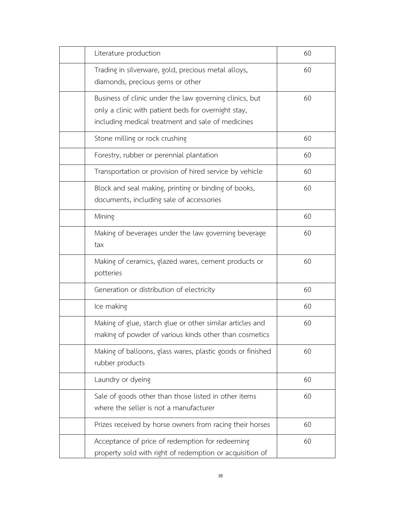| Literature production                                                                                                                                               | 60 |
|---------------------------------------------------------------------------------------------------------------------------------------------------------------------|----|
| Trading in silverware, gold, precious metal alloys,<br>diamonds, precious gems or other                                                                             | 60 |
| Business of clinic under the law governing clinics, but<br>only a clinic with patient beds for overnight stay,<br>including medical treatment and sale of medicines | 60 |
| Stone milling or rock crushing                                                                                                                                      | 60 |
| Forestry, rubber or perennial plantation                                                                                                                            | 60 |
| Transportation or provision of hired service by vehicle                                                                                                             | 60 |
| Block and seal making, printing or binding of books,<br>documents, including sale of accessories                                                                    | 60 |
| Mining                                                                                                                                                              | 60 |
| Making of beverages under the law governing beverage<br>tax                                                                                                         | 60 |
| Making of ceramics, glazed wares, cement products or<br>potteries                                                                                                   | 60 |
| Generation or distribution of electricity                                                                                                                           | 60 |
| Ice making                                                                                                                                                          | 60 |
| Making of glue, starch glue or other similar articles and<br>making of powder of various kinds other than cosmetics                                                 | 60 |
| Making of balloons, glass wares, plastic goods or finished<br>rubber products                                                                                       | 60 |
| Laundry or dyeing                                                                                                                                                   | 60 |
| Sale of goods other than those listed in other items<br>where the seller is not a manufacturer                                                                      | 60 |
| Prizes received by horse owners from racing their horses                                                                                                            | 60 |
| Acceptance of price of redemption for redeeming<br>property sold with right of redemption or acquisition of                                                         | 60 |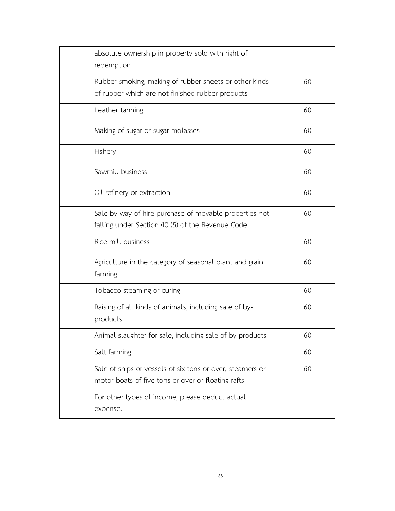| absolute ownership in property sold with right of<br>redemption                                                 |    |
|-----------------------------------------------------------------------------------------------------------------|----|
| Rubber smoking, making of rubber sheets or other kinds<br>of rubber which are not finished rubber products      | 60 |
| Leather tanning                                                                                                 | 60 |
| Making of sugar or sugar molasses                                                                               | 60 |
| Fishery                                                                                                         | 60 |
| Sawmill business                                                                                                | 60 |
| Oil refinery or extraction                                                                                      | 60 |
| Sale by way of hire-purchase of movable properties not<br>falling under Section 40 (5) of the Revenue Code      | 60 |
| Rice mill business                                                                                              | 60 |
| Agriculture in the category of seasonal plant and grain<br>farming                                              | 60 |
| Tobacco steaming or curing                                                                                      | 60 |
| Raising of all kinds of animals, including sale of by-<br>products                                              | 60 |
| Animal slaughter for sale, including sale of by products                                                        | 60 |
| Salt farming                                                                                                    | 60 |
| Sale of ships or vessels of six tons or over, steamers or<br>motor boats of five tons or over or floating rafts | 60 |
| For other types of income, please deduct actual<br>expense.                                                     |    |